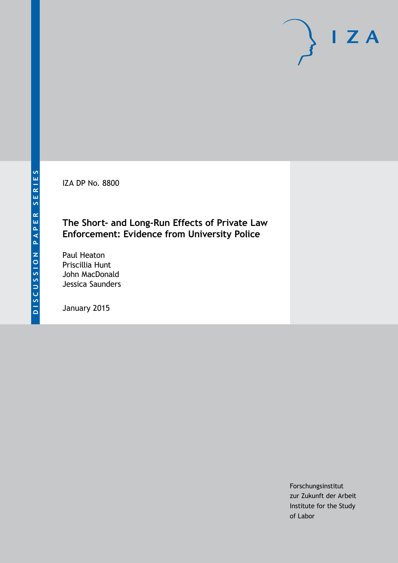IZA DP No. 8800

## **The Short- and Long-Run Effects of Private Law Enforcement: Evidence from University Police**

Paul Heaton Priscillia Hunt John MacDonald Jessica Saunders

January 2015

Forschungsinstitut zur Zukunft der Arbeit Institute for the Study of Labor

 $I Z A$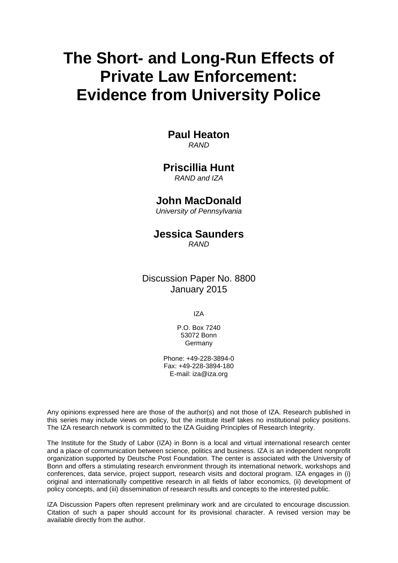# **The Short- and Long-Run Effects of Private Law Enforcement: Evidence from University Police**

# **Paul Heaton**

*RAND*

## **Priscillia Hunt**

*RAND and IZA*

## **John MacDonald**

*University of Pennsylvania*

# **Jessica Saunders**

*RAND*

Discussion Paper No. 8800 January 2015

IZA

P.O. Box 7240 53072 Bonn Germany

Phone: +49-228-3894-0 Fax: +49-228-3894-180 E-mail: [iza@iza.org](mailto:iza@iza.org)

Any opinions expressed here are those of the author(s) and not those of IZA. Research published in this series may include views on policy, but the institute itself takes no institutional policy positions. The IZA research network is committed to the IZA Guiding Principles of Research Integrity.

The Institute for the Study of Labor (IZA) in Bonn is a local and virtual international research center and a place of communication between science, politics and business. IZA is an independent nonprofit organization supported by Deutsche Post Foundation. The center is associated with the University of Bonn and offers a stimulating research environment through its international network, workshops and conferences, data service, project support, research visits and doctoral program. IZA engages in (i) original and internationally competitive research in all fields of labor economics, (ii) development of policy concepts, and (iii) dissemination of research results and concepts to the interested public.

<span id="page-1-0"></span>IZA Discussion Papers often represent preliminary work and are circulated to encourage discussion. Citation of such a paper should account for its provisional character. A revised version may be available directly from the author.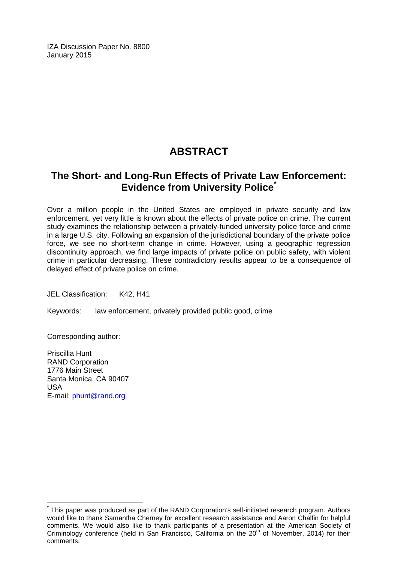IZA Discussion Paper No. 8800 January 2015

# **ABSTRACT**

## **The Short- and Long-Run Effects of Private Law Enforcement: Evidence from University Police[\\*](#page-1-0)**

Over a million people in the United States are employed in private security and law enforcement, yet very little is known about the effects of private police on crime. The current study examines the relationship between a privately-funded university police force and crime in a large U.S. city. Following an expansion of the jurisdictional boundary of the private police force, we see no short-term change in crime. However, using a geographic regression discontinuity approach, we find large impacts of private police on public safety, with violent crime in particular decreasing. These contradictory results appear to be a consequence of delayed effect of private police on crime.

JEL Classification: K42, H41

Keywords: law enforcement, privately provided public good, crime

Corresponding author:

Priscillia Hunt RAND Corporation 1776 Main Street Santa Monica, CA 90407 USA E-mail: [phunt@rand.org](mailto:phunt@rand.org)

This paper was produced as part of the RAND Corporation's self-initiated research program. Authors would like to thank Samantha Cherney for excellent research assistance and Aaron Chalfin for helpful comments. We would also like to thank participants of a presentation at the American Society of Criminology conference (held in San Francisco, California on the 20<sup>th</sup> of November, 2014) for their comments.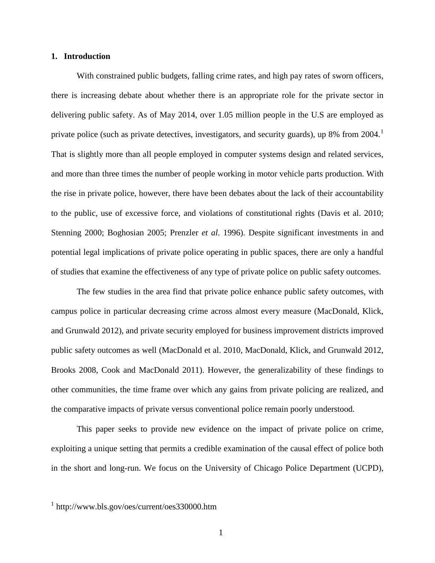#### **1. Introduction**

With constrained public budgets, falling crime rates, and high pay rates of sworn officers, there is increasing debate about whether there is an appropriate role for the private sector in delivering public safety. As of May 2014, over 1.05 million people in the U.S are employed as private police (such as private detectives, investigators, and security guards), up 8% from 2004.<sup>1</sup> That is slightly more than all people employed in computer systems design and related services, and more than three times the number of people working in motor vehicle parts production. With the rise in private police, however, there have been debates about the lack of their accountability to the public, use of excessive force, and violations of constitutional rights (Davis et al. 2010; Stenning 2000; Boghosian 2005; Prenzler *et al*. 1996). Despite significant investments in and potential legal implications of private police operating in public spaces, there are only a handful of studies that examine the effectiveness of any type of private police on public safety outcomes.

The few studies in the area find that private police enhance public safety outcomes, with campus police in particular decreasing crime across almost every measure [\(MacDonald, Klick,](#page-26-0)  [and Grunwald 2012\)](#page-26-0), and private security employed for business improvement districts improved public safety outcomes as well [\(MacDonald et al. 2010,](#page-26-1) [MacDonald, Klick, and Grunwald 2012,](#page-26-0) [Brooks 2008,](#page-25-0) [Cook and MacDonald 2011\)](#page-25-1). However, the generalizability of these findings to other communities, the time frame over which any gains from private policing are realized, and the comparative impacts of private versus conventional police remain poorly understood.

This paper seeks to provide new evidence on the impact of private police on crime, exploiting a unique setting that permits a credible examination of the causal effect of police both in the short and long-run. We focus on the University of Chicago Police Department (UCPD),

<span id="page-3-0"></span> $1$  http://www.bls.gov/oes/current/oes330000.htm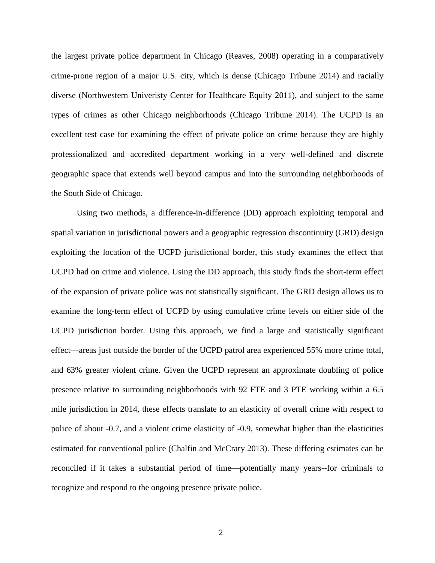the largest private police department in Chicago (Reaves, 2008) operating in a comparatively crime-prone region of a major U.S. city, which is dense [\(Chicago Tribune 2014\)](#page-25-2) and racially diverse [\(Northwestern Univeristy Center for Healthcare Equity 2011\)](#page-26-2), and subject to the same types of crimes as other Chicago neighborhoods [\(Chicago Tribune 2014\)](#page-25-2). The UCPD is an excellent test case for examining the effect of private police on crime because they are highly professionalized and accredited department working in a very well-defined and discrete geographic space that extends well beyond campus and into the surrounding neighborhoods of the South Side of Chicago.

Using two methods, a difference-in-difference (DD) approach exploiting temporal and spatial variation in jurisdictional powers and a geographic regression discontinuity (GRD) design exploiting the location of the UCPD jurisdictional border, this study examines the effect that UCPD had on crime and violence. Using the DD approach, this study finds the short-term effect of the expansion of private police was not statistically significant. The GRD design allows us to examine the long-term effect of UCPD by using cumulative crime levels on either side of the UCPD jurisdiction border. Using this approach, we find a large and statistically significant effect—areas just outside the border of the UCPD patrol area experienced 55% more crime total, and 63% greater violent crime. Given the UCPD represent an approximate doubling of police presence relative to surrounding neighborhoods with 92 FTE and 3 PTE working within a 6.5 mile jurisdiction in 2014, these effects translate to an elasticity of overall crime with respect to police of about -0.7, and a violent crime elasticity of -0.9, somewhat higher than the elasticities estimated for conventional police [\(Chalfin and McCrary 2013\)](#page-25-3). These differing estimates can be reconciled if it takes a substantial period of time—potentially many years--for criminals to recognize and respond to the ongoing presence private police.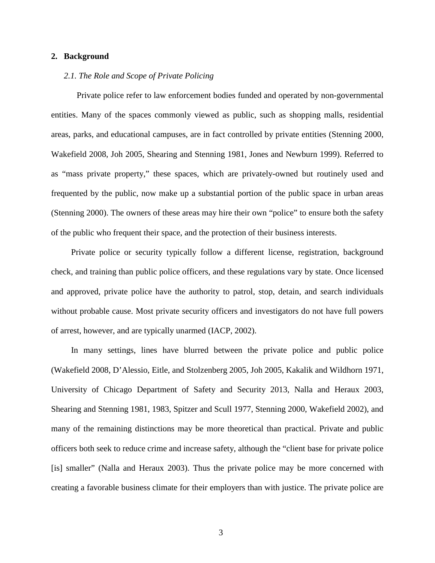#### **2. Background**

#### *2.1. The Role and Scope of Private Policing*

Private police refer to law enforcement bodies funded and operated by non-governmental entities. Many of the spaces commonly viewed as public, such as shopping malls, residential areas, parks, and educational campuses, are in fact controlled by private entities [\(Stenning 2000,](#page-26-3) [Wakefield 2008,](#page-26-4) [Joh 2005,](#page-25-4) [Shearing and Stenning 1981,](#page-26-5) [Jones and Newburn 1999\)](#page-25-5). Referred to as "mass private property," these spaces, which are privately-owned but routinely used and frequented by the public, now make up a substantial portion of the public space in urban areas [\(Stenning 2000\)](#page-26-3). The owners of these areas may hire their own "police" to ensure both the safety of the public who frequent their space, and the protection of their business interests.

Private police or security typically follow a different license, registration, background check, and training than public police officers, and these regulations vary by state. Once licensed and approved, private police have the authority to patrol, stop, detain, and search individuals without probable cause. Most private security officers and investigators do not have full powers of arrest, however, and are typically unarmed (IACP, 2002).

In many settings, lines have blurred between the private police and public police [\(Wakefield](#page-26-4) 2008, D'Alessio, Eitle, and [Stolzenberg](#page-25-6) 2005, Joh [2005,](#page-25-4) Kakalik and [Wildhorn](#page-25-7) 1971, University of Chicago [Department](#page-26-6) of Safety and Security 2013, Nalla and [Heraux](#page-26-7) 2003, Shearing and [Stenning](#page-26-5) 1981, [1983,](#page-26-8) [Spitzer](#page-26-9) and Scull 1977, [Stenning](#page-26-3) 2000, [Wakefield](#page-26-10) 2002), and many of the remaining distinctions may be more theoretical than practical. Private and public officers both seek to reduce crime and increase safety, although the "client base for private police [is] smaller" [\(Nalla and Heraux 2003\)](#page-26-7). Thus the private police may be more concerned with creating a favorable business climate for their employers than with justice. The private police are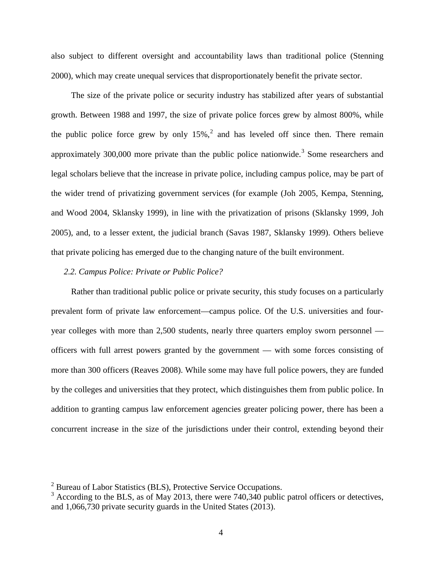also subject to different oversight and accountability laws than traditional police [\(Stenning](#page-26-3) [2000\)](#page-26-3), which may create unequal services that disproportionately benefit the private sector.

The size of the private police or security industry has stabilized after years of substantial growth. Between 1988 and 1997, the size of private police forces grew by almost 800%, while the public police force grew by only  $15\%$ , and has leveled off since then. There remain approximately [3](#page-6-0)00,000 more private than the public police nationwide.<sup>3</sup> Some researchers and legal scholars believe that the increase in private police, including campus police, may be part of the wider trend of privatizing government services (for example [\(Joh 2005,](#page-25-4) [Kempa, Stenning,](#page-25-8)  [and Wood 2004,](#page-25-8) [Sklansky 1999\)](#page-26-11), in line with the privatization of prisons [\(Sklansky 1999,](#page-26-11) [Joh](#page-25-4)  [2005\)](#page-25-4), and, to a lesser extent, the judicial branch [\(Savas 1987,](#page-26-12) [Sklansky 1999\)](#page-26-11). Others believe that private policing has emerged due to the changing nature of the built environment.

#### *2.2. Campus Police: Private or Public Police?*

Rather than traditional public police or private security, this study focuses on a particularly prevalent form of private law enforcement—campus police. Of the U.S. universities and fouryear colleges with more than 2,500 students, nearly three quarters employ sworn personnel officers with full arrest powers granted by the government — with some forces consisting of more than 300 officers [\(Reaves 2008\)](#page-26-13). While some may have full police powers, they are funded by the colleges and universities that they protect, which distinguishes them from public police. In addition to granting campus law enforcement agencies greater policing power, there has been a concurrent increase in the size of the jurisdictions under their control, extending beyond their

<span id="page-6-1"></span><sup>2</sup> Bureau of Labor Statistics (BLS), Protective Service Occupations.

<span id="page-6-0"></span> $3$  According to the BLS, as of May 2013, there were 740,340 public patrol officers or detectives, and 1,066,730 private security guards in the United States [\(2013\)](#page-25-9).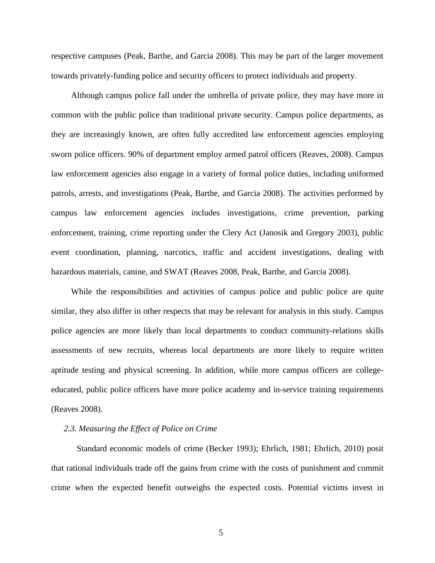respective campuses [\(Peak, Barthe, and Garcia 2008\)](#page-26-14). This may be part of the larger movement towards privately-funding police and security officers to protect individuals and property.

Although campus police fall under the umbrella of private police, they may have more in common with the public police than traditional private security. Campus police departments, as they are increasingly known, are often fully accredited law enforcement agencies employing sworn police officers. 90% of department employ armed patrol officers (Reaves, 2008). Campus law enforcement agencies also engage in a variety of formal police duties, including uniformed patrols, arrests, and investigations [\(Peak, Barthe, and Garcia 2008\)](#page-26-14). The activities performed by campus law enforcement agencies includes investigations, crime prevention, parking enforcement, training, crime reporting under the Clery Act [\(Janosik and Gregory 2003\)](#page-25-10), public event coordination, planning, narcotics, traffic and accident investigations, dealing with hazardous materials, canine, and SWAT [\(Reaves 2008,](#page-26-13) Peak, Barthe, [and Garcia 2008\)](#page-26-14).

While the responsibilities and activities of campus police and public police are quite similar, they also differ in other respects that may be relevant for analysis in this study. Campus police agencies are more likely than local departments to conduct community-relations skills assessments of new recruits, whereas local departments are more likely to require written aptitude testing and physical screening. In addition, while more campus officers are collegeeducated, public police officers have more police academy and in-service training requirements [\(Reaves 2008\)](#page-26-13).

#### *2.3. Measuring the Effect of Police on Crime*

Standard economic models of crime [\(Becker 1993\)](#page-25-11); Ehrlich, 1981; Ehrlich, 2010) posit that rational individuals trade off the gains from crime with the costs of punishment and commit crime when the expected benefit outweighs the expected costs. Potential victims invest in

5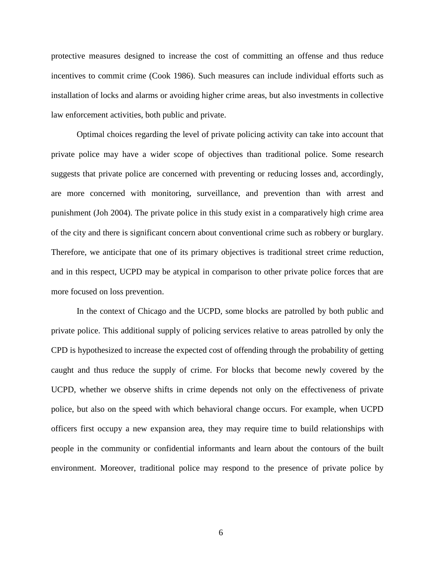protective measures designed to increase the cost of committing an offense and thus reduce incentives to commit crime [\(Cook 1986\)](#page-25-12). Such measures can include individual efforts such as installation of locks and alarms or avoiding higher crime areas, but also investments in collective law enforcement activities, both public and private.

Optimal choices regarding the level of private policing activity can take into account that private police may have a wider scope of objectives than traditional police. Some research suggests that private police are concerned with preventing or reducing losses and, accordingly, are more concerned with monitoring, surveillance, and prevention than with arrest and punishment (Joh 2004). The private police in this study exist in a comparatively high crime area of the city and there is significant concern about conventional crime such as robbery or burglary. Therefore, we anticipate that one of its primary objectives is traditional street crime reduction, and in this respect, UCPD may be atypical in comparison to other private police forces that are more focused on loss prevention.

In the context of Chicago and the UCPD, some blocks are patrolled by both public and private police. This additional supply of policing services relative to areas patrolled by only the CPD is hypothesized to increase the expected cost of offending through the probability of getting caught and thus reduce the supply of crime. For blocks that become newly covered by the UCPD, whether we observe shifts in crime depends not only on the effectiveness of private police, but also on the speed with which behavioral change occurs. For example, when UCPD officers first occupy a new expansion area, they may require time to build relationships with people in the community or confidential informants and learn about the contours of the built environment. Moreover, traditional police may respond to the presence of private police by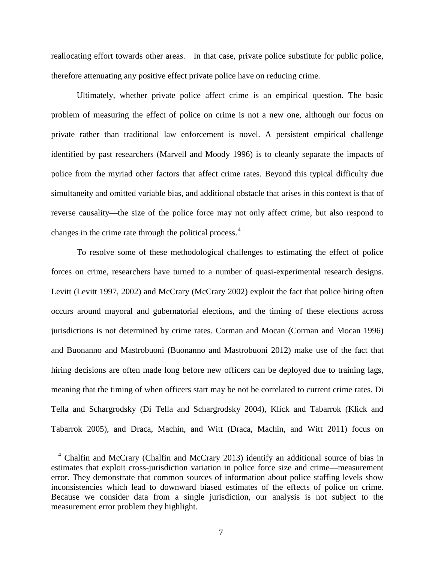reallocating effort towards other areas. In that case, private police substitute for public police, therefore attenuating any positive effect private police have on reducing crime.

Ultimately, whether private police affect crime is an empirical question. The basic problem of measuring the effect of police on crime is not a new one, although our focus on private rather than traditional law enforcement is novel. A persistent empirical challenge identified by past researchers [\(Marvell and Moody 1996\)](#page-26-15) is to cleanly separate the impacts of police from the myriad other factors that affect crime rates. Beyond this typical difficulty due simultaneity and omitted variable bias, and additional obstacle that arises in this context is that of reverse causality—the size of the police force may not only affect crime, but also respond to changes in the crime rate through the political process.[4](#page-6-1)

To resolve some of these methodological challenges to estimating the effect of police forces on crime, researchers have turned to a number of quasi-experimental research designs. Levitt [\(Levitt 1997,](#page-26-16) [2002\)](#page-26-17) and McCrary [\(McCrary 2002\)](#page-26-18) exploit the fact that police hiring often occurs around mayoral and gubernatorial elections, and the timing of these elections across jurisdictions is not determined by crime rates. [Corman and Mocan](#page-25-2) [\(Corman and Mocan 1996\)](#page-25-13) and Buonanno and Mastrobuoni [\(Buonanno and Mastrobuoni 2012\)](#page-25-14) make use of the fact that hiring decisions are often made long before new officers can be deployed due to training lags, meaning that the timing of when officers start may be not be correlated to current crime rates. Di Tella and Schargrodsky [\(Di Tella and Schargrodsky 2004\)](#page-25-15), Klick and Tabarrok [\(Klick and](#page-25-16)  [Tabarrok 2005\)](#page-25-16), and Draca, Machin, and Witt [\(Draca, Machin, and Witt 2011\)](#page-25-17) focus on

<span id="page-9-0"></span> $4$  Chalfin and McCrary [\(Chalfin and McCrary 2013\)](#page-25-3) identify an additional source of bias in estimates that exploit cross-jurisdiction variation in police force size and crime—measurement error. They demonstrate that common sources of information about police staffing levels show inconsistencies which lead to downward biased estimates of the effects of police on crime. Because we consider data from a single jurisdiction, our analysis is not subject to the measurement error problem they highlight.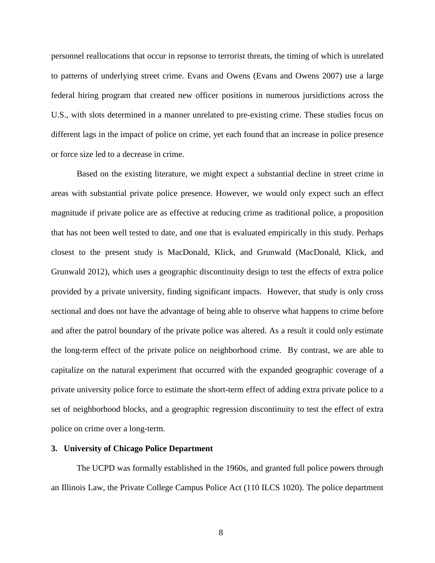personnel reallocations that occur in repsonse to terrorist threats, the timing of which is unrelated to patterns of underlying street crime. Evans and Owens [\(Evans and Owens 2007\)](#page-25-18) use a large federal hiring program that created new officer positions in numerous jursidictions across the U.S., with slots determined in a manner unrelated to pre-existing crime. These studies focus on different lags in the impact of police on crime, yet each found that an increase in police presence or force size led to a decrease in crime.

Based on the existing literature, we might expect a substantial decline in street crime in areas with substantial private police presence. However, we would only expect such an effect magnitude if private police are as effective at reducing crime as traditional police, a proposition that has not been well tested to date, and one that is evaluated empirically in this study. Perhaps closest to the present study is MacDonald, Klick, and Grunwald [\(MacDonald, Klick, and](#page-26-0)  [Grunwald 2012\)](#page-26-0), which uses a geographic discontinuity design to test the effects of extra police provided by a private university, finding significant impacts. However, that study is only cross sectional and does not have the advantage of being able to observe what happens to crime before and after the patrol boundary of the private police was altered. As a result it could only estimate the long-term effect of the private police on neighborhood crime. By contrast, we are able to capitalize on the natural experiment that occurred with the expanded geographic coverage of a private university police force to estimate the short-term effect of adding extra private police to a set of neighborhood blocks, and a geographic regression discontinuity to test the effect of extra police on crime over a long-term.

#### **3. University of Chicago Police Department**

The UCPD was formally established in the 1960s, and granted full police powers through an Illinois Law, the Private College Campus Police Act (110 ILCS 1020). The police department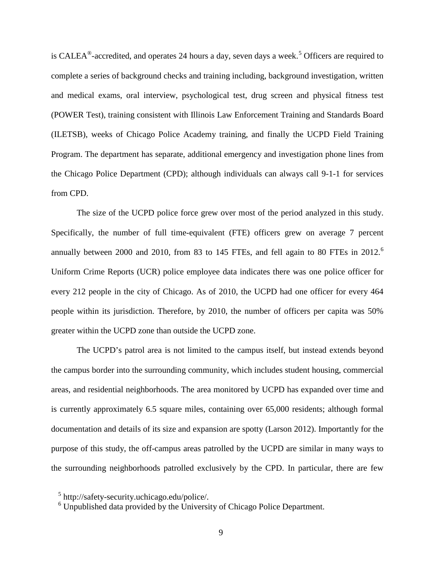is CALEA<sup>®</sup>-accredited, and operates 24 hours a day, seven days a week.<sup>[5](#page-9-0)</sup> Officers are required to complete a series of background checks and training including, background investigation, written and medical exams, oral interview, psychological test, drug screen and physical fitness test (POWER Test), training consistent with Illinois Law Enforcement Training and Standards Board (ILETSB), weeks of Chicago Police Academy training, and finally the UCPD Field Training Program. The department has separate, additional emergency and investigation phone lines from the Chicago Police Department (CPD); although individuals can always call 9-1-1 for services from CPD.

The size of the UCPD police force grew over most of the period analyzed in this study. Specifically, the number of full time-equivalent (FTE) officers grew on average 7 percent annually between 2000 and 2010, from 83 to 145 FTEs, and fell again to 80 FTEs in 2012.<sup>[6](#page-11-0)</sup> Uniform Crime Reports (UCR) police employee data indicates there was one police officer for every 212 people in the city of Chicago. As of 2010, the UCPD had one officer for every 464 people within its jurisdiction. Therefore, by 2010, the number of officers per capita was 50% greater within the UCPD zone than outside the UCPD zone.

The UCPD's patrol area is not limited to the campus itself, but instead extends beyond the campus border into the surrounding community, which includes student housing, commercial areas, and residential neighborhoods. The area monitored by UCPD has expanded over time and is currently approximately 6.5 square miles, containing over 65,000 residents; although formal documentation and details of its size and expansion are spotty [\(Larson 2012\)](#page-25-19). Importantly for the purpose of this study, the off-campus areas patrolled by the UCPD are similar in many ways to the surrounding neighborhoods patrolled exclusively by the CPD. In particular, there are few

<span id="page-11-1"></span><sup>5</sup> http://safety-security.uchicago.edu/police/.

<span id="page-11-0"></span><sup>6</sup> Unpublished data provided by the University of Chicago Police Department.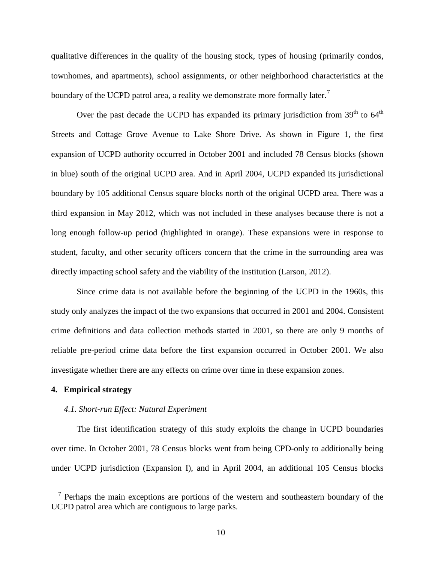qualitative differences in the quality of the housing stock, types of housing (primarily condos, townhomes, and apartments), school assignments, or other neighborhood characteristics at the boundary of the UCPD patrol area, a reality we demonstrate more formally later.<sup>[7](#page-11-1)</sup>

Over the past decade the UCPD has expanded its primary jurisdiction from  $39<sup>th</sup>$  to  $64<sup>th</sup>$ Streets and Cottage Grove Avenue to Lake Shore Drive. As shown in Figure 1, the first expansion of UCPD authority occurred in October 2001 and included 78 Census blocks (shown in blue) south of the original UCPD area. And in April 2004, UCPD expanded its jurisdictional boundary by 105 additional Census square blocks north of the original UCPD area. There was a third expansion in May 2012, which was not included in these analyses because there is not a long enough follow-up period (highlighted in orange). These expansions were in response to student, faculty, and other security officers concern that the crime in the surrounding area was directly impacting school safety and the viability of the institution (Larson, 2012).

Since crime data is not available before the beginning of the UCPD in the 1960s, this study only analyzes the impact of the two expansions that occurred in 2001 and 2004. Consistent crime definitions and data collection methods started in 2001, so there are only 9 months of reliable pre-period crime data before the first expansion occurred in October 2001. We also investigate whether there are any effects on crime over time in these expansion zones.

#### **4. Empirical strategy**

#### *4.1. Short-run Effect: Natural Experiment*

<span id="page-12-0"></span>The first identification strategy of this study exploits the change in UCPD boundaries over time. In October 2001, 78 Census blocks went from being CPD-only to additionally being under UCPD jurisdiction (Expansion I), and in April 2004, an additional 105 Census blocks

 $<sup>7</sup>$  Perhaps the main exceptions are portions of the western and southeastern boundary of the</sup> UCPD patrol area which are contiguous to large parks.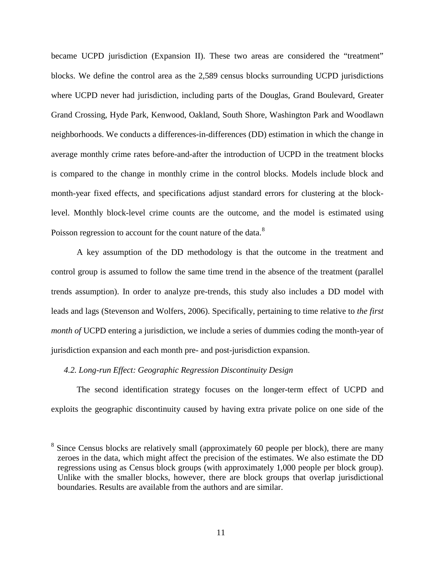became UCPD jurisdiction (Expansion II). These two areas are considered the "treatment" blocks. We define the control area as the 2,589 census blocks surrounding UCPD jurisdictions where UCPD never had jurisdiction, including parts of the Douglas, Grand Boulevard, Greater Grand Crossing, Hyde Park, Kenwood, Oakland, South Shore, Washington Park and Woodlawn neighborhoods. We conducts a differences-in-differences (DD) estimation in which the change in average monthly crime rates before-and-after the introduction of UCPD in the treatment blocks is compared to the change in monthly crime in the control blocks. Models include block and month-year fixed effects, and specifications adjust standard errors for clustering at the blocklevel. Monthly block-level crime counts are the outcome, and the model is estimated using Poisson regression to account for the count nature of the data.<sup>[8](#page-12-0)</sup>

A key assumption of the DD methodology is that the outcome in the treatment and control group is assumed to follow the same time trend in the absence of the treatment (parallel trends assumption). In order to analyze pre-trends, this study also includes a DD model with leads and lags (Stevenson and Wolfers, 2006). Specifically, pertaining to time relative to *the first month of* UCPD entering a jurisdiction, we include a series of dummies coding the month-year of jurisdiction expansion and each month pre- and post-jurisdiction expansion.

#### *4.2. Long-run Effect: Geographic Regression Discontinuity Design*

The second identification strategy focuses on the longer-term effect of UCPD and exploits the geographic discontinuity caused by having extra private police on one side of the

<sup>&</sup>lt;sup>8</sup> Since Census blocks are relatively small (approximately 60 people per block), there are many zeroes in the data, which might affect the precision of the estimates. We also estimate the DD regressions using as Census block groups (with approximately 1,000 people per block group). Unlike with the smaller blocks, however, there are block groups that overlap jurisdictional boundaries. Results are available from the authors and are similar.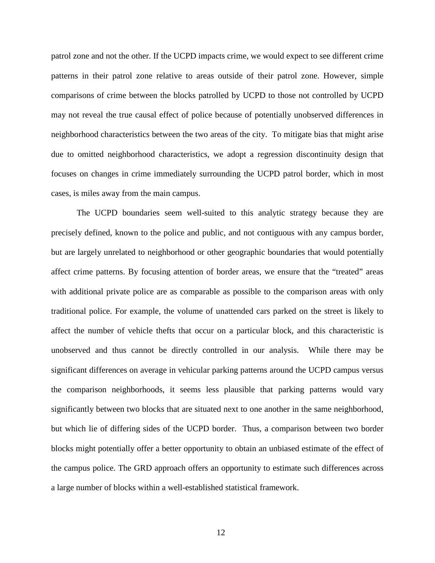patrol zone and not the other. If the UCPD impacts crime, we would expect to see different crime patterns in their patrol zone relative to areas outside of their patrol zone. However, simple comparisons of crime between the blocks patrolled by UCPD to those not controlled by UCPD may not reveal the true causal effect of police because of potentially unobserved differences in neighborhood characteristics between the two areas of the city. To mitigate bias that might arise due to omitted neighborhood characteristics, we adopt a regression discontinuity design that focuses on changes in crime immediately surrounding the UCPD patrol border, which in most cases, is miles away from the main campus.

The UCPD boundaries seem well-suited to this analytic strategy because they are precisely defined, known to the police and public, and not contiguous with any campus border, but are largely unrelated to neighborhood or other geographic boundaries that would potentially affect crime patterns. By focusing attention of border areas, we ensure that the "treated" areas with additional private police are as comparable as possible to the comparison areas with only traditional police. For example, the volume of unattended cars parked on the street is likely to affect the number of vehicle thefts that occur on a particular block, and this characteristic is unobserved and thus cannot be directly controlled in our analysis. While there may be significant differences on average in vehicular parking patterns around the UCPD campus versus the comparison neighborhoods, it seems less plausible that parking patterns would vary significantly between two blocks that are situated next to one another in the same neighborhood, but which lie of differing sides of the UCPD border. Thus, a comparison between two border blocks might potentially offer a better opportunity to obtain an unbiased estimate of the effect of the campus police. The GRD approach offers an opportunity to estimate such differences across a large number of blocks within a well-established statistical framework.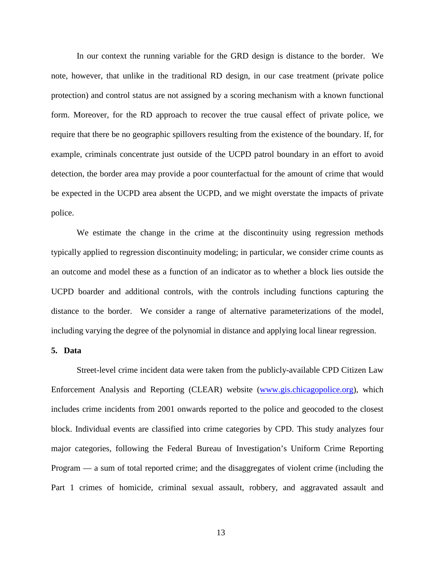In our context the running variable for the GRD design is distance to the border. We note, however, that unlike in the traditional RD design, in our case treatment (private police protection) and control status are not assigned by a scoring mechanism with a known functional form. Moreover, for the RD approach to recover the true causal effect of private police, we require that there be no geographic spillovers resulting from the existence of the boundary. If, for example, criminals concentrate just outside of the UCPD patrol boundary in an effort to avoid detection, the border area may provide a poor counterfactual for the amount of crime that would be expected in the UCPD area absent the UCPD, and we might overstate the impacts of private police.

We estimate the change in the crime at the discontinuity using regression methods typically applied to regression discontinuity modeling; in particular, we consider crime counts as an outcome and model these as a function of an indicator as to whether a block lies outside the UCPD boarder and additional controls, with the controls including functions capturing the distance to the border. We consider a range of alternative parameterizations of the model, including varying the degree of the polynomial in distance and applying local linear regression.

#### **5. Data**

Street-level crime incident data were taken from the publicly-available CPD Citizen Law Enforcement Analysis and Reporting (CLEAR) website [\(www.gis.chicagopolice.org\)](http://www.gis.chicagopolice.org/), which includes crime incidents from 2001 onwards reported to the police and geocoded to the closest block. Individual events are classified into crime categories by CPD. This study analyzes four major categories, following the Federal Bureau of Investigation's Uniform Crime Reporting Program — a sum of total reported crime; and the disaggregates of violent crime (including the Part 1 crimes of homicide, criminal sexual assault, robbery, and aggravated assault and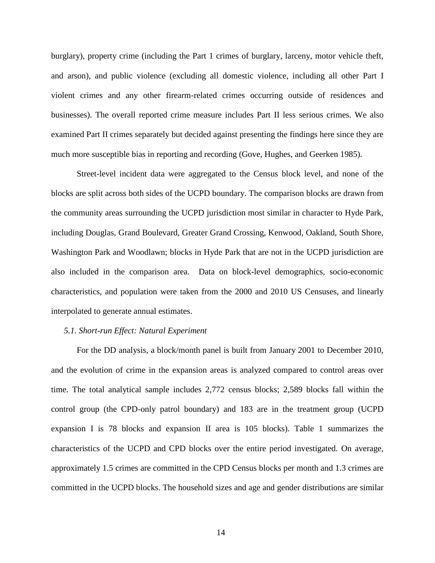burglary), property crime (including the Part 1 crimes of burglary, larceny, motor vehicle theft, and arson), and public violence (excluding all domestic violence, including all other Part I violent crimes and any other firearm-related crimes occurring outside of residences and businesses). The overall reported crime measure includes Part II less serious crimes. We also examined Part II crimes separately but decided against presenting the findings here since they are much more susceptible bias in reporting and recording [\(Gove, Hughes, and Geerken 1985\)](#page-25-20).

Street-level incident data were aggregated to the Census block level, and none of the blocks are split across both sides of the UCPD boundary. The comparison blocks are drawn from the community areas surrounding the UCPD jurisdiction most similar in character to Hyde Park, including Douglas, Grand Boulevard, Greater Grand Crossing, Kenwood, Oakland, South Shore, Washington Park and Woodlawn; blocks in Hyde Park that are not in the UCPD jurisdiction are also included in the comparison area. Data on block-level demographics, socio-economic characteristics, and population were taken from the 2000 and 2010 US Censuses, and linearly interpolated to generate annual estimates.

#### *5.1. Short-run Effect: Natural Experiment*

For the DD analysis, a block/month panel is built from January 2001 to December 2010, and the evolution of crime in the expansion areas is analyzed compared to control areas over time. The total analytical sample includes 2,772 census blocks; 2,589 blocks fall within the control group (the CPD-only patrol boundary) and 183 are in the treatment group (UCPD expansion I is 78 blocks and expansion II area is 105 blocks). Table 1 summarizes the characteristics of the UCPD and CPD blocks over the entire period investigated. On average, approximately 1.5 crimes are committed in the CPD Census blocks per month and 1.3 crimes are committed in the UCPD blocks. The household sizes and age and gender distributions are similar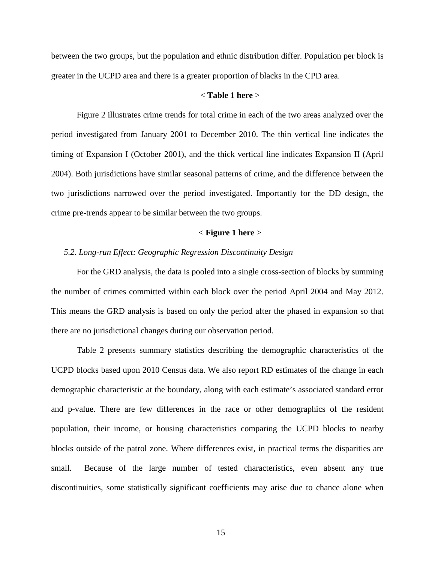between the two groups, but the population and ethnic distribution differ. Population per block is greater in the UCPD area and there is a greater proportion of blacks in the CPD area.

#### < **Table 1 here** >

Figure 2 illustrates crime trends for total crime in each of the two areas analyzed over the period investigated from January 2001 to December 2010. The thin vertical line indicates the timing of Expansion I (October 2001), and the thick vertical line indicates Expansion II (April 2004). Both jurisdictions have similar seasonal patterns of crime, and the difference between the two jurisdictions narrowed over the period investigated. Importantly for the DD design, the crime pre-trends appear to be similar between the two groups.

#### < **Figure 1 here** >

#### *5.2. Long-run Effect: Geographic Regression Discontinuity Design*

For the GRD analysis, the data is pooled into a single cross-section of blocks by summing the number of crimes committed within each block over the period April 2004 and May 2012. This means the GRD analysis is based on only the period after the phased in expansion so that there are no jurisdictional changes during our observation period.

Table 2 presents summary statistics describing the demographic characteristics of the UCPD blocks based upon 2010 Census data. We also report RD estimates of the change in each demographic characteristic at the boundary, along with each estimate's associated standard error and p-value. There are few differences in the race or other demographics of the resident population, their income, or housing characteristics comparing the UCPD blocks to nearby blocks outside of the patrol zone. Where differences exist, in practical terms the disparities are small. Because of the large number of tested characteristics, even absent any true discontinuities, some statistically significant coefficients may arise due to chance alone when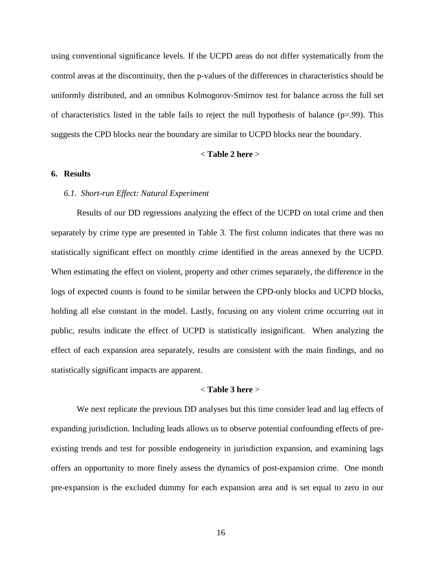using conventional significance levels. If the UCPD areas do not differ systematically from the control areas at the discontinuity, then the p-values of the differences in characteristics should be uniformly distributed, and an omnibus Kolmogorov-Smirnov test for balance across the full set of characteristics listed in the table fails to reject the null hypothesis of balance  $(p=0.99)$ . This suggests the CPD blocks near the boundary are similar to UCPD blocks near the boundary.

#### < **Table 2 here** >

#### **6. Results**

#### *6.1. Short-run Effect: Natural Experiment*

Results of our DD regressions analyzing the effect of the UCPD on total crime and then separately by crime type are presented in Table 3. The first column indicates that there was no statistically significant effect on monthly crime identified in the areas annexed by the UCPD. When estimating the effect on violent, property and other crimes separately, the difference in the logs of expected counts is found to be similar between the CPD-only blocks and UCPD blocks, holding all else constant in the model. Lastly, focusing on any violent crime occurring out in public, results indicate the effect of UCPD is statistically insignificant. When analyzing the effect of each expansion area separately, results are consistent with the main findings, and no statistically significant impacts are apparent.

#### < **Table 3 here** >

We next replicate the previous DD analyses but this time consider lead and lag effects of expanding jurisdiction. Including leads allows us to observe potential confounding effects of preexisting trends and test for possible endogeneity in jurisdiction expansion, and examining lags offers an opportunity to more finely assess the dynamics of post-expansion crime. One month pre-expansion is the excluded dummy for each expansion area and is set equal to zero in our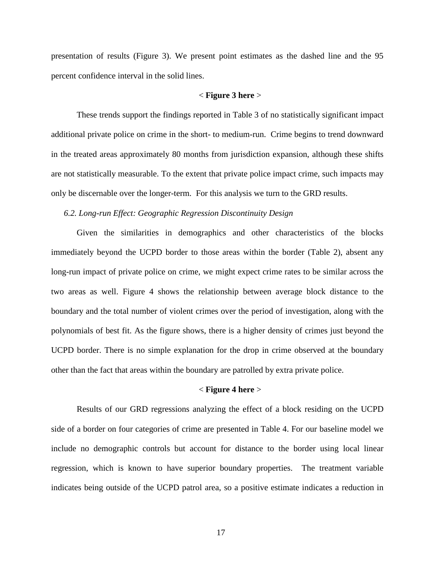presentation of results (Figure 3). We present point estimates as the dashed line and the 95 percent confidence interval in the solid lines.

#### < **Figure 3 here** >

These trends support the findings reported in Table 3 of no statistically significant impact additional private police on crime in the short- to medium-run. Crime begins to trend downward in the treated areas approximately 80 months from jurisdiction expansion, although these shifts are not statistically measurable. To the extent that private police impact crime, such impacts may only be discernable over the longer-term. For this analysis we turn to the GRD results.

*6.2. Long-run Effect: Geographic Regression Discontinuity Design*

Given the similarities in demographics and other characteristics of the blocks immediately beyond the UCPD border to those areas within the border (Table 2), absent any long-run impact of private police on crime, we might expect crime rates to be similar across the two areas as well. Figure 4 shows the relationship between average block distance to the boundary and the total number of violent crimes over the period of investigation, along with the polynomials of best fit. As the figure shows, there is a higher density of crimes just beyond the UCPD border. There is no simple explanation for the drop in crime observed at the boundary other than the fact that areas within the boundary are patrolled by extra private police.

#### < **Figure 4 here** >

Results of our GRD regressions analyzing the effect of a block residing on the UCPD side of a border on four categories of crime are presented in Table 4. For our baseline model we include no demographic controls but account for distance to the border using local linear regression, which is known to have superior boundary properties. The treatment variable indicates being outside of the UCPD patrol area, so a positive estimate indicates a reduction in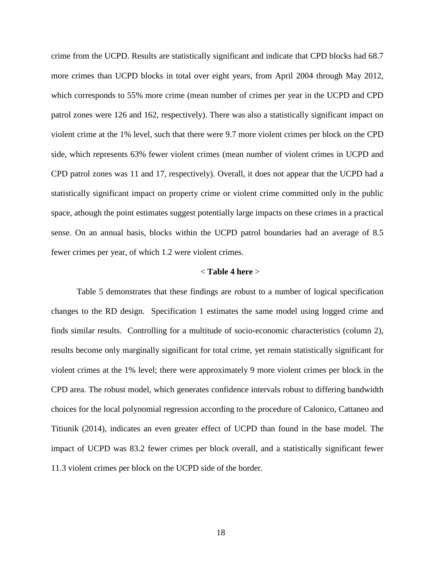crime from the UCPD. Results are statistically significant and indicate that CPD blocks had 68.7 more crimes than UCPD blocks in total over eight years, from April 2004 through May 2012, which corresponds to 55% more crime (mean number of crimes per year in the UCPD and CPD patrol zones were 126 and 162, respectively). There was also a statistically significant impact on violent crime at the 1% level, such that there were 9.7 more violent crimes per block on the CPD side, which represents 63% fewer violent crimes (mean number of violent crimes in UCPD and CPD patrol zones was 11 and 17, respectively). Overall, it does not appear that the UCPD had a statistically significant impact on property crime or violent crime committed only in the public space, athough the point estimates suggest potentially large impacts on these crimes in a practical sense. On an annual basis, blocks within the UCPD patrol boundaries had an average of 8.5 fewer crimes per year, of which 1.2 were violent crimes.

#### < **Table 4 here** >

Table 5 demonstrates that these findings are robust to a number of logical specification changes to the RD design. Specification 1 estimates the same model using logged crime and finds similar results. Controlling for a multitude of socio-economic characteristics (column 2), results become only marginally significant for total crime, yet remain statistically significant for violent crimes at the 1% level; there were approximately 9 more violent crimes per block in the CPD area. The robust model, which generates confidence intervals robust to differing bandwidth choices for the local polynomial regression according to the procedure of Calonico, Cattaneo and Titiunik (2014), indicates an even greater effect of UCPD than found in the base model. The impact of UCPD was 83.2 fewer crimes per block overall, and a statistically significant fewer 11.3 violent crimes per block on the UCPD side of the border.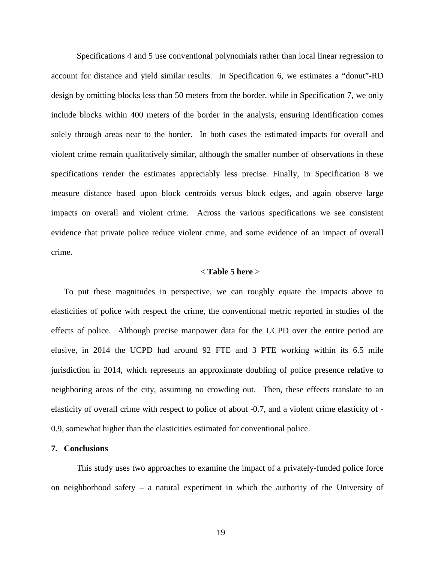Specifications 4 and 5 use conventional polynomials rather than local linear regression to account for distance and yield similar results. In Specification 6, we estimates a "donut"-RD design by omitting blocks less than 50 meters from the border, while in Specification 7, we only include blocks within 400 meters of the border in the analysis, ensuring identification comes solely through areas near to the border. In both cases the estimated impacts for overall and violent crime remain qualitatively similar, although the smaller number of observations in these specifications render the estimates appreciably less precise. Finally, in Specification 8 we measure distance based upon block centroids versus block edges, and again observe large impacts on overall and violent crime. Across the various specifications we see consistent evidence that private police reduce violent crime, and some evidence of an impact of overall crime.

#### < **Table 5 here** >

To put these magnitudes in perspective, we can roughly equate the impacts above to elasticities of police with respect the crime, the conventional metric reported in studies of the effects of police. Although precise manpower data for the UCPD over the entire period are elusive, in 2014 the UCPD had around 92 FTE and 3 PTE working within its 6.5 mile jurisdiction in 2014, which represents an approximate doubling of police presence relative to neighboring areas of the city, assuming no crowding out. Then, these effects translate to an elasticity of overall crime with respect to police of about -0.7, and a violent crime elasticity of - 0.9, somewhat higher than the elasticities estimated for conventional police.

#### **7. Conclusions**

This study uses two approaches to examine the impact of a privately-funded police force on neighborhood safety – a natural experiment in which the authority of the University of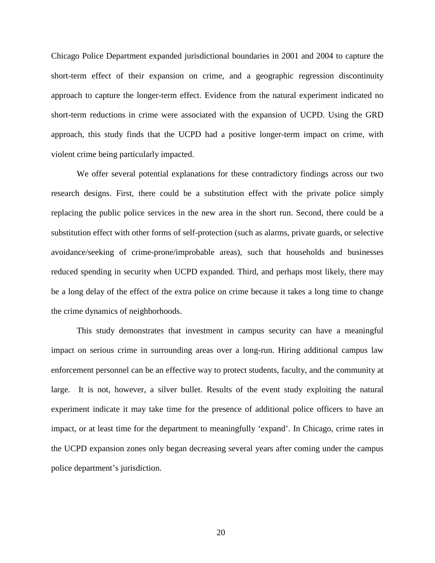Chicago Police Department expanded jurisdictional boundaries in 2001 and 2004 to capture the short-term effect of their expansion on crime, and a geographic regression discontinuity approach to capture the longer-term effect. Evidence from the natural experiment indicated no short-term reductions in crime were associated with the expansion of UCPD. Using the GRD approach, this study finds that the UCPD had a positive longer-term impact on crime, with violent crime being particularly impacted.

We offer several potential explanations for these contradictory findings across our two research designs. First, there could be a substitution effect with the private police simply replacing the public police services in the new area in the short run. Second, there could be a substitution effect with other forms of self-protection (such as alarms, private guards, or selective avoidance/seeking of crime-prone/improbable areas), such that households and businesses reduced spending in security when UCPD expanded. Third, and perhaps most likely, there may be a long delay of the effect of the extra police on crime because it takes a long time to change the crime dynamics of neighborhoods.

This study demonstrates that investment in campus security can have a meaningful impact on serious crime in surrounding areas over a long-run. Hiring additional campus law enforcement personnel can be an effective way to protect students, faculty, and the community at large. It is not, however, a silver bullet. Results of the event study exploiting the natural experiment indicate it may take time for the presence of additional police officers to have an impact, or at least time for the department to meaningfully 'expand'. In Chicago, crime rates in the UCPD expansion zones only began decreasing several years after coming under the campus police department's jurisdiction.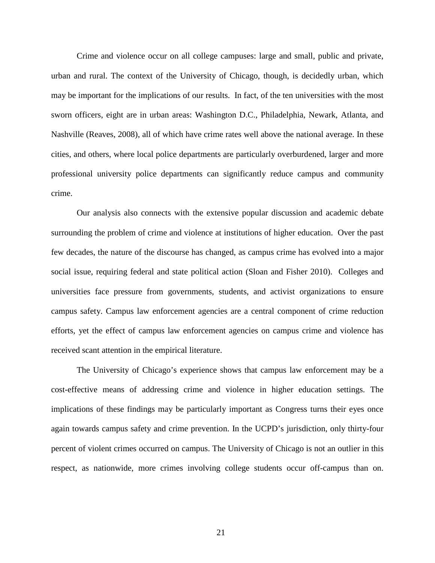Crime and violence occur on all college campuses: large and small, public and private, urban and rural. The context of the University of Chicago, though, is decidedly urban, which may be important for the implications of our results. In fact, of the ten universities with the most sworn officers, eight are in urban areas: Washington D.C., Philadelphia, Newark, Atlanta, and Nashville (Reaves, 2008), all of which have crime rates well above the national average. In these cities, and others, where local police departments are particularly overburdened, larger and more professional university police departments can significantly reduce campus and community crime.

Our analysis also connects with the extensive popular discussion and academic debate surrounding the problem of crime and violence at institutions of higher education. Over the past few decades, the nature of the discourse has changed, as campus crime has evolved into a major social issue, requiring federal and state political action [\(Sloan and Fisher](#page-26-19) 2010). Colleges and universities face pressure from governments, students, and activist organizations to ensure campus safety. Campus law enforcement agencies are a central component of crime reduction efforts, yet the effect of campus law enforcement agencies on campus crime and violence has received scant attention in the empirical literature.

The University of Chicago's experience shows that campus law enforcement may be a cost-effective means of addressing crime and violence in higher education settings. The implications of these findings may be particularly important as Congress turns their eyes once again towards campus safety and crime prevention. In the UCPD's jurisdiction, only thirty-four percent of violent crimes occurred on campus. The University of Chicago is not an outlier in this respect, as nationwide, more crimes involving college students occur off-campus than on.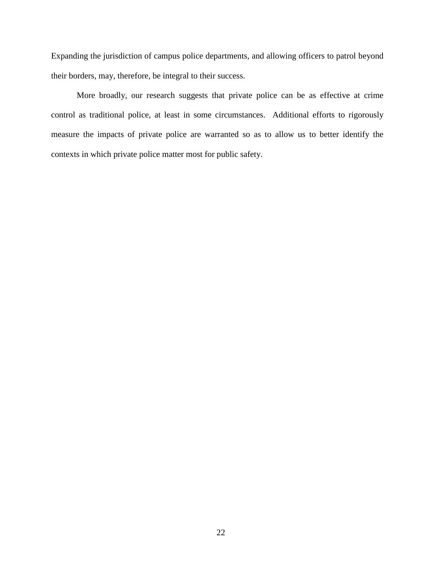Expanding the jurisdiction of campus police departments, and allowing officers to patrol beyond their borders, may, therefore, be integral to their success.

More broadly, our research suggests that private police can be as effective at crime control as traditional police, at least in some circumstances. Additional efforts to rigorously measure the impacts of private police are warranted so as to allow us to better identify the contexts in which private police matter most for public safety.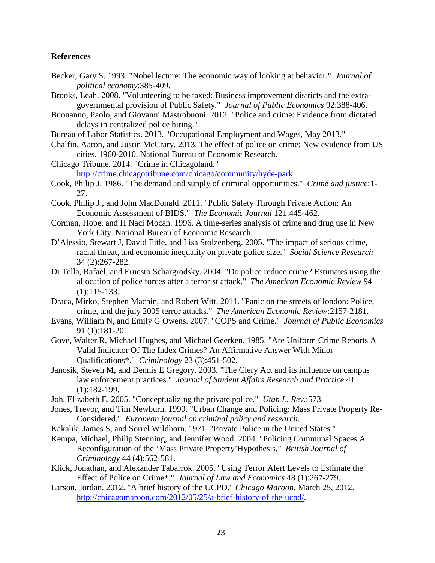#### **References**

- <span id="page-25-11"></span>Becker, Gary S. 1993. "Nobel lecture: The economic way of looking at behavior." *Journal of political economy*:385-409.
- <span id="page-25-0"></span>Brooks, Leah. 2008. "Volunteering to be taxed: Business improvement districts and the extragovernmental provision of Public Safety." *Journal of Public Economics* 92:388-406.
- <span id="page-25-14"></span>Buonanno, Paolo, and Giovanni Mastrobuoni. 2012. "Police and crime: Evidence from dictated delays in centralized police hiring."
- <span id="page-25-9"></span>Bureau of Labor Statistics. 2013. "Occupational Employment and Wages, May 2013."
- <span id="page-25-3"></span>Chalfin, Aaron, and Justin McCrary. 2013. The effect of police on crime: New evidence from US cities, 1960-2010. National Bureau of Economic Research.
- <span id="page-25-2"></span>Chicago Tribune. 2014. "Crime in Chicagoland." [http://crime.chicagotribune.com/chicago/community/hyde-park.](http://crime.chicagotribune.com/chicago/community/hyde-park)
- <span id="page-25-12"></span>Cook, Philip J. 1986. "The demand and supply of criminal opportunities." *Crime and justice*:1- 27.
- <span id="page-25-1"></span>Cook, Philip J., and John MacDonald. 2011. "Public Safety Through Private Action: An Economic Assessment of BIDS." *The Economic Journal* 121:445-462.
- <span id="page-25-13"></span>Corman, Hope, and H Naci Mocan. 1996. A time-series analysis of crime and drug use in New York City. National Bureau of Economic Research.
- <span id="page-25-6"></span>D'Alessio, Stewart J, David Eitle, and Lisa Stolzenberg. 2005. "The impact of serious crime, racial threat, and economic inequality on private police size." *Social Science Research* 34 (2):267-282.
- <span id="page-25-15"></span>Di Tella, Rafael, and Ernesto Schargrodsky. 2004. "Do police reduce crime? Estimates using the allocation of police forces after a terrorist attack." *The American Economic Review* 94 (1):115-133.
- <span id="page-25-17"></span>Draca, Mirko, Stephen Machin, and Robert Witt. 2011. "Panic on the streets of london: Police, crime, and the july 2005 terror attacks." *The American Economic Review*:2157-2181.
- <span id="page-25-18"></span>Evans, William N, and Emily G Owens. 2007. "COPS and Crime." *Journal of Public Economics* 91 (1):181-201.
- <span id="page-25-20"></span>Gove, Walter R, Michael Hughes, and Michael Geerken. 1985. "Are Uniform Crime Reports A Valid Indicator Of The Index Crimes? An Affirmative Answer With Minor Qualifications\*." *Criminology* 23 (3):451-502.
- <span id="page-25-10"></span>Janosik, Steven M, and Dennis E Gregory. 2003. "The Clery Act and its influence on campus law enforcement practices." *Journal of Student Affairs Research and Practice* 41 (1):182-199.
- <span id="page-25-4"></span>Joh, Elizabeth E. 2005. "Conceptualizing the private police." *Utah L. Rev.*:573.
- <span id="page-25-5"></span>Jones, Trevor, and Tim Newburn. 1999. "Urban Change and Policing: Mass Private Property Re-Considered." *European journal on criminal policy and research*.
- <span id="page-25-7"></span>Kakalik, James S, and Sorrel Wildhorn. 1971. "Private Police in the United States."
- <span id="page-25-8"></span>Kempa, Michael, Philip Stenning, and Jennifer Wood. 2004. "Policing Communal Spaces A Reconfiguration of the 'Mass Private Property'Hypothesis." *British Journal of Criminology* 44 (4):562-581.
- <span id="page-25-16"></span>Klick, Jonathan, and Alexander Tabarrok. 2005. "Using Terror Alert Levels to Estimate the Effect of Police on Crime\*." *Journal of Law and Economics* 48 (1):267-279.
- <span id="page-25-19"></span>Larson, Jordan. 2012. "A brief history of the UCPD." *Chicago Maroon*, March 25, 2012. [http://chicagomaroon.com/2012/05/25/a-brief-history-of-the-ucpd/.](http://chicagomaroon.com/2012/05/25/a-brief-history-of-the-ucpd/)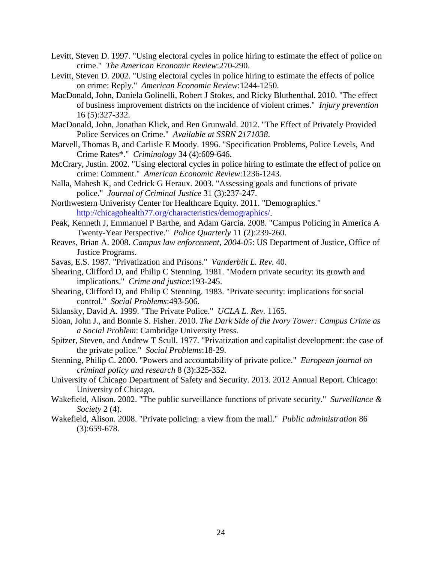- <span id="page-26-16"></span>Levitt, Steven D. 1997. "Using electoral cycles in police hiring to estimate the effect of police on crime." *The American Economic Review*:270-290.
- <span id="page-26-17"></span>Levitt, Steven D. 2002. "Using electoral cycles in police hiring to estimate the effects of police on crime: Reply." *American Economic Review*:1244-1250.
- <span id="page-26-1"></span>MacDonald, John, Daniela Golinelli, Robert J Stokes, and Ricky Bluthenthal. 2010. "The effect of business improvement districts on the incidence of violent crimes." *Injury prevention* 16 (5):327-332.
- <span id="page-26-0"></span>MacDonald, John, Jonathan Klick, and Ben Grunwald. 2012. "The Effect of Privately Provided Police Services on Crime." *Available at SSRN 2171038*.
- <span id="page-26-15"></span>Marvell, Thomas B, and Carlisle E Moody. 1996. "Specification Problems, Police Levels, And Crime Rates\*." *Criminology* 34 (4):609-646.
- <span id="page-26-18"></span>McCrary, Justin. 2002. "Using electoral cycles in police hiring to estimate the effect of police on crime: Comment." *American Economic Review*:1236-1243.
- <span id="page-26-7"></span>Nalla, Mahesh K, and Cedrick G Heraux. 2003. "Assessing goals and functions of private police." *Journal of Criminal Justice* 31 (3):237-247.
- <span id="page-26-2"></span>Northwestern Univeristy Center for Healthcare Equity. 2011. "Demographics." [http://chicagohealth77.org/characteristics/demographics/.](http://chicagohealth77.org/characteristics/demographics/)
- <span id="page-26-14"></span>Peak, Kenneth J, Emmanuel P Barthe, and Adam Garcia. 2008. "Campus Policing in America A Twenty-Year Perspective." *Police Quarterly* 11 (2):239-260.
- <span id="page-26-13"></span>Reaves, Brian A. 2008. *Campus law enforcement, 2004-05*: US Department of Justice, Office of Justice Programs.
- <span id="page-26-12"></span>Savas, E.S. 1987. "Privatization and Prisons." *Vanderbilt L. Rev.* 40.
- <span id="page-26-5"></span>Shearing, Clifford D, and Philip C Stenning. 1981. "Modern private security: its growth and implications." *Crime and justice*:193-245.
- <span id="page-26-8"></span>Shearing, Clifford D, and Philip C Stenning. 1983. "Private security: implications for social control." *Social Problems*:493-506.
- <span id="page-26-11"></span>Sklansky, David A. 1999. "The Private Police." *UCLA L. Rev.* 1165.
- <span id="page-26-19"></span>Sloan, John J., and Bonnie S. Fisher. 2010. *The Dark Side of the Ivory Tower: Campus Crime as a Social Problem*: Cambridge University Press.
- <span id="page-26-9"></span>Spitzer, Steven, and Andrew T Scull. 1977. "Privatization and capitalist development: the case of the private police." *Social Problems*:18-29.
- <span id="page-26-3"></span>Stenning, Philip C. 2000. "Powers and accountability of private police." *European journal on criminal policy and research* 8 (3):325-352.
- <span id="page-26-6"></span>University of Chicago Department of Safety and Security. 2013. 2012 Annual Report. Chicago: University of Chicago.
- <span id="page-26-10"></span>Wakefield, Alison. 2002. "The public surveillance functions of private security." *Surveillance & Society* 2 (4).
- <span id="page-26-4"></span>Wakefield, Alison. 2008. "Private policing: a view from the mall." *Public administration* 86 (3):659-678.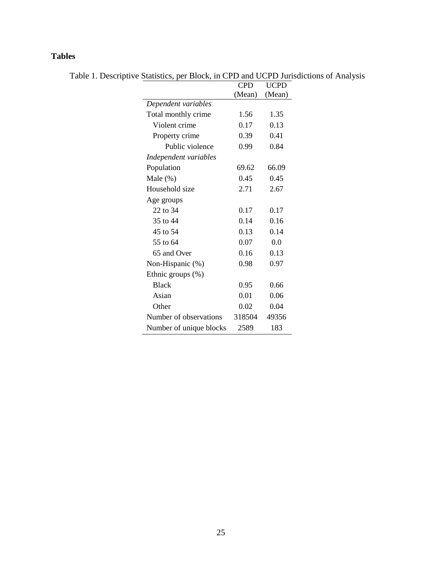### **Tables**

Table 1. Descriptive Statistics, per Block, in CPD and UCPD Jurisdictions of Analysis

|                         | <b>CPD</b> | <b>UCPD</b> |
|-------------------------|------------|-------------|
|                         | (Mean)     | (Mean)      |
| Dependent variables     |            |             |
| Total monthly crime     | 1.56       | 1.35        |
| Violent crime           | 0.17       | 0.13        |
| Property crime          | 0.39       | 0.41        |
| Public violence         | 0.99       | 0.84        |
| Independent variables   |            |             |
| Population              | 69.62      | 66.09       |
| Male $(\%)$             | 0.45       | 0.45        |
| Household size          | 2.71       | 2.67        |
| Age groups              |            |             |
| 22 to 34                | 0.17       | 0.17        |
| 35 to 44                | 0.14       | 0.16        |
| 45 to 54                | 0.13       | 0.14        |
| 55 to 64                | 0.07       | 0.0         |
| 65 and Over             | 0.16       | 0.13        |
| Non-Hispanic (%)        | 0.98       | 0.97        |
| Ethnic groups $(\%)$    |            |             |
| <b>Black</b>            | 0.95       | 0.66        |
| Asian                   | 0.01       | 0.06        |
| Other                   | 0.02       | 0.04        |
| Number of observations  | 318504     | 49356       |
| Number of unique blocks | 2589       | 183         |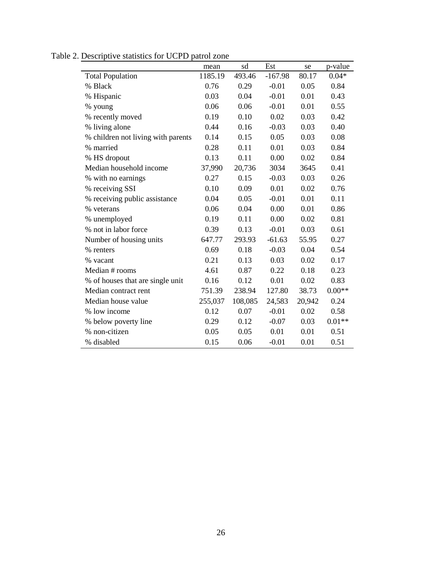|                                    | mean    | sd      | Est       | se     | p-value  |
|------------------------------------|---------|---------|-----------|--------|----------|
| <b>Total Population</b>            | 1185.19 | 493.46  | $-167.98$ | 80.17  | $0.04*$  |
| % Black                            | 0.76    | 0.29    | $-0.01$   | 0.05   | 0.84     |
| % Hispanic                         | 0.03    | 0.04    | $-0.01$   | 0.01   | 0.43     |
| % young                            | 0.06    | 0.06    | $-0.01$   | 0.01   | 0.55     |
| % recently moved                   | 0.19    | 0.10    | 0.02      | 0.03   | 0.42     |
| % living alone                     | 0.44    | 0.16    | $-0.03$   | 0.03   | 0.40     |
| % children not living with parents | 0.14    | 0.15    | 0.05      | 0.03   | 0.08     |
| % married                          | 0.28    | 0.11    | 0.01      | 0.03   | 0.84     |
| % HS dropout                       | 0.13    | 0.11    | 0.00      | 0.02   | 0.84     |
| Median household income            | 37,990  | 20,736  | 3034      | 3645   | 0.41     |
| % with no earnings                 | 0.27    | 0.15    | $-0.03$   | 0.03   | 0.26     |
| % receiving SSI                    | 0.10    | 0.09    | 0.01      | 0.02   | 0.76     |
| % receiving public assistance      | 0.04    | 0.05    | $-0.01$   | 0.01   | 0.11     |
| % veterans                         | 0.06    | 0.04    | 0.00      | 0.01   | 0.86     |
| % unemployed                       | 0.19    | 0.11    | 0.00      | 0.02   | 0.81     |
| % not in labor force               | 0.39    | 0.13    | $-0.01$   | 0.03   | 0.61     |
| Number of housing units            | 647.77  | 293.93  | $-61.63$  | 55.95  | 0.27     |
| % renters                          | 0.69    | 0.18    | $-0.03$   | 0.04   | 0.54     |
| % vacant                           | 0.21    | 0.13    | 0.03      | 0.02   | 0.17     |
| Median # rooms                     | 4.61    | 0.87    | 0.22      | 0.18   | 0.23     |
| % of houses that are single unit   | 0.16    | 0.12    | 0.01      | 0.02   | 0.83     |
| Median contract rent               | 751.39  | 238.94  | 127.80    | 38.73  | $0.00**$ |
| Median house value                 | 255,037 | 108,085 | 24,583    | 20,942 | 0.24     |
| % low income                       | 0.12    | 0.07    | $-0.01$   | 0.02   | 0.58     |
| % below poverty line               | 0.29    | 0.12    | $-0.07$   | 0.03   | $0.01**$ |
| % non-citizen                      | 0.05    | 0.05    | 0.01      | 0.01   | 0.51     |
| % disabled                         | 0.15    | 0.06    | $-0.01$   | 0.01   | 0.51     |

Table 2. Descriptive statistics for UCPD patrol zone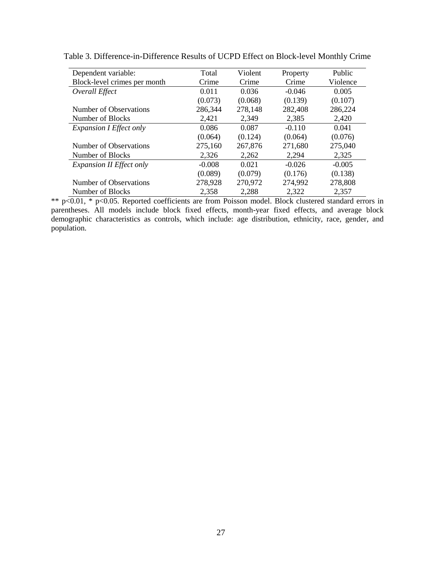| Dependent variable:             | Total    | Violent | Property | Public   |
|---------------------------------|----------|---------|----------|----------|
| Block-level crimes per month    | Crime    | Crime   | Crime    | Violence |
| Overall Effect                  | 0.011    | 0.036   | $-0.046$ | 0.005    |
|                                 | (0.073)  | (0.068) | (0.139)  | (0.107)  |
| Number of Observations          | 286,344  | 278,148 | 282,408  | 286,224  |
| Number of Blocks                | 2,421    | 2,349   | 2,385    | 2,420    |
| <b>Expansion I Effect only</b>  | 0.086    | 0.087   | $-0.110$ | 0.041    |
|                                 | (0.064)  | (0.124) | (0.064)  | (0.076)  |
| Number of Observations          | 275,160  | 267,876 | 271,680  | 275,040  |
| Number of Blocks                | 2,326    | 2,262   | 2,294    | 2,325    |
| <b>Expansion II Effect only</b> | $-0.008$ | 0.021   | $-0.026$ | $-0.005$ |
|                                 | (0.089)  | (0.079) | (0.176)  | (0.138)  |
| Number of Observations          | 278,928  | 270,972 | 274,992  | 278,808  |
| Number of Blocks                | 2,358    | 2,288   | 2,322    | 2,357    |

Table 3. Difference-in-Difference Results of UCPD Effect on Block-level Monthly Crime

\*\* p<0.01, \* p<0.05. Reported coefficients are from Poisson model. Block clustered standard errors in parentheses. All models include block fixed effects, month-year fixed effects, and average block demographic characteristics as controls, which include: age distribution, ethnicity, race, gender, and population.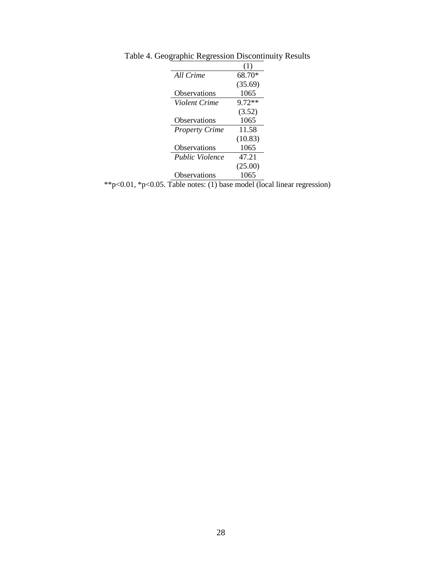|                                                      | All Crime              | 68.70*   |  |  |  |  |
|------------------------------------------------------|------------------------|----------|--|--|--|--|
|                                                      |                        | (35.69)  |  |  |  |  |
|                                                      | <b>Observations</b>    | 1065     |  |  |  |  |
|                                                      | Violent Crime          | $9.72**$ |  |  |  |  |
|                                                      |                        | (3.52)   |  |  |  |  |
|                                                      | <b>Observations</b>    | 1065     |  |  |  |  |
|                                                      | <b>Property Crime</b>  | 11.58    |  |  |  |  |
|                                                      |                        | (10.83)  |  |  |  |  |
|                                                      | Observations           | 1065     |  |  |  |  |
|                                                      | <i>Public Violence</i> | 47.21    |  |  |  |  |
|                                                      |                        | (25.00)  |  |  |  |  |
|                                                      | <b>Observations</b>    | 1065     |  |  |  |  |
| $*n<0$ 05. Table notes: (1) base model (local linear |                        |          |  |  |  |  |

Table 4. Geographic Regression Discontinuity Results

\*\*p<0.01, \*p<0.05. Table notes: (1) base model (local linear regression)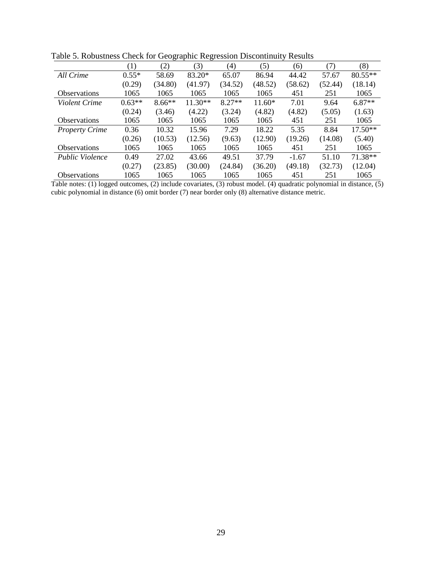|                       | (1)      | (2)      | (3)       | (4)      | (5)     | (6)     | (7)     | (8)       |  |
|-----------------------|----------|----------|-----------|----------|---------|---------|---------|-----------|--|
| All Crime             | $0.55*$  | 58.69    | 83.20*    | 65.07    | 86.94   | 44.42   | 57.67   | $80.55**$ |  |
|                       | (0.29)   | (34.80)  | (41.97)   | (34.52)  | (48.52) | (58.62) | (52.44) | (18.14)   |  |
| <b>Observations</b>   | 1065     | 1065     | 1065      | 1065     | 1065    | 451     | 251     | 1065      |  |
| Violent Crime         | $0.63**$ | $8.66**$ | $11.30**$ | $8.27**$ | 11.60*  | 7.01    | 9.64    | $6.87**$  |  |
|                       | (0.24)   | (3.46)   | (4.22)    | (3.24)   | (4.82)  | (4.82)  | (5.05)  | (1.63)    |  |
| <b>Observations</b>   | 1065     | 1065     | 1065      | 1065     | 1065    | 451     | 251     | 1065      |  |
| <b>Property Crime</b> | 0.36     | 10.32    | 15.96     | 7.29     | 18.22   | 5.35    | 8.84    | 17.50**   |  |
|                       | (0.26)   | (10.53)  | (12.56)   | (9.63)   | (12.90) | (19.26) | (14.08) | (5.40)    |  |
| <b>Observations</b>   | 1065     | 1065     | 1065      | 1065     | 1065    | 451     | 251     | 1065      |  |
| Public Violence       | 0.49     | 27.02    | 43.66     | 49.51    | 37.79   | $-1.67$ | 51.10   | 71.38**   |  |
|                       | (0.27)   | (23.85)  | (30.00)   | (24.84)  | (36.20) | (49.18) | (32.73) | (12.04)   |  |
| <b>Observations</b>   | 1065     | 1065     | 1065      | 1065     | 1065    | 451     | 251     | 1065      |  |

Table 5. Robustness Check for Geographic Regression Discontinuity Results

Table notes: (1) logged outcomes, (2) include covariates, (3) robust model. (4) quadratic polynomial in distance, (5) cubic polynomial in distance (6) omit border (7) near border only (8) alternative distance metric.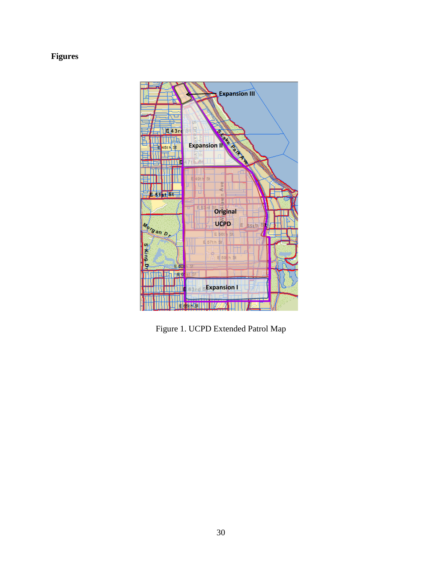# **Figures**



Figure 1. UCPD Extended Patrol Map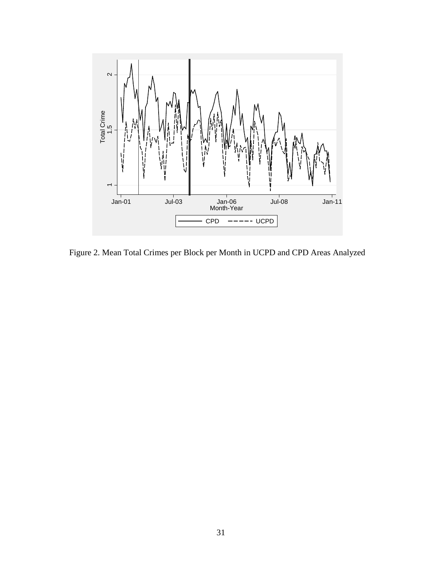

Figure 2. Mean Total Crimes per Block per Month in UCPD and CPD Areas Analyzed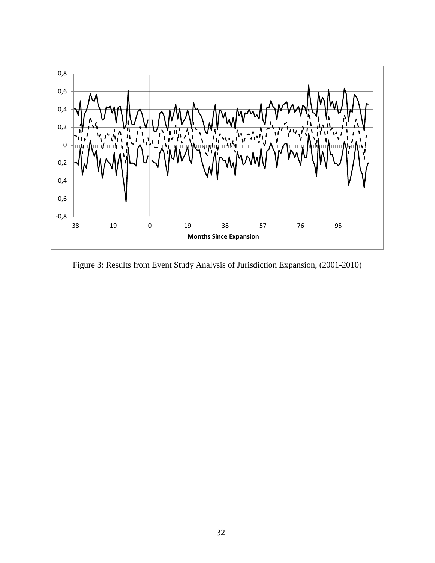

Figure 3: Results from Event Study Analysis of Jurisdiction Expansion, (2001-2010)